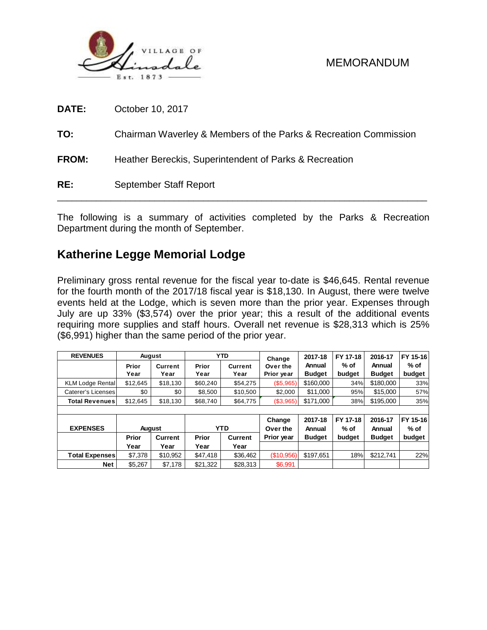

| DATE:        | October 10, 2017                                                 |
|--------------|------------------------------------------------------------------|
| TO:          | Chairman Waverley & Members of the Parks & Recreation Commission |
| <b>FROM:</b> | Heather Bereckis, Superintendent of Parks & Recreation           |
| RE:          | September Staff Report                                           |

The following is a summary of activities completed by the Parks & Recreation Department during the month of September.

## **Katherine Legge Memorial Lodge**

Preliminary gross rental revenue for the fiscal year to-date is \$46,645. Rental revenue for the fourth month of the 2017/18 fiscal year is \$18,130. In August, there were twelve events held at the Lodge, which is seven more than the prior year. Expenses through July are up 33% (\$3,574) over the prior year; this a result of the additional events requiring more supplies and staff hours. Overall net revenue is \$28,313 which is 25% (\$6,991) higher than the same period of the prior year.

| <b>REVENUES</b>         |               | August         |            | <b>YTD</b>     | Change     | 2017-18       | FY 17-18 | 2016-17       | FY 15-16 |  |  |  |
|-------------------------|---------------|----------------|------------|----------------|------------|---------------|----------|---------------|----------|--|--|--|
|                         | Prior         | <b>Current</b> | Prior      | <b>Current</b> | Over the   | Annual        | $%$ of   | Annual        | $%$ of   |  |  |  |
|                         | Year          | Year           | Year       | Year           | Prior year | <b>Budget</b> | budget   | <b>Budget</b> | budget   |  |  |  |
| <b>KLM Lodge Rental</b> | \$12,645      | \$18,130       | \$60,240   | \$54,275       | (\$5,965)  | \$160,000     | 34%      | \$180,000     | 33%      |  |  |  |
| Caterer's Licenses      | \$0           | \$0            | \$8.500    | \$10,500       | \$2,000    | \$11,000      | 95%      | \$15,000      | 57%      |  |  |  |
| <b>Total Revenues</b>   | \$12.645      | \$18,130       | \$68,740   | \$64,775       | (\$3,965)  | \$171,000     | 38%      | \$195,000     | 35%      |  |  |  |
|                         |               |                |            |                |            |               |          |               |          |  |  |  |
|                         |               |                |            |                | Change     | 2017-18       | FY 17-18 | 2016-17       | FY 15-16 |  |  |  |
| <b>EXPENSES</b>         | <b>August</b> |                | <b>YTD</b> |                | Over the   | Annual        | $%$ of   | Annual        | $%$ of   |  |  |  |
|                         | Prior         | <b>Current</b> | Prior      | <b>Current</b> | Prior year | <b>Budget</b> | budget   | <b>Budget</b> | budget   |  |  |  |
|                         | Year          | Year           | Year       | Year           |            |               |          |               |          |  |  |  |
| <b>Total Expenses</b>   | \$7,378       | \$10.952       | \$47.418   | \$36,462       | (\$10,956) | \$197.651     | 18%      | \$212,741     | 22%      |  |  |  |
| Net                     | \$5,267       | \$7,178        | \$21,322   | \$28,313       | \$6,991    |               |          |               |          |  |  |  |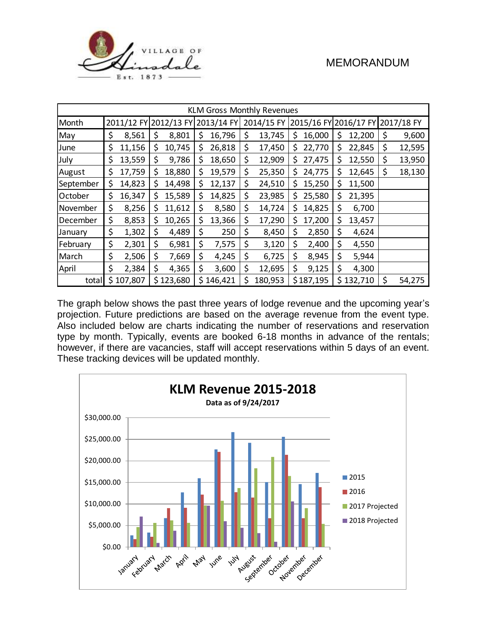

| <b>KLM Gross Monthly Revenues</b> |    |           |    |           |     |                                  |                                             |         |     |           |    |           |              |
|-----------------------------------|----|-----------|----|-----------|-----|----------------------------------|---------------------------------------------|---------|-----|-----------|----|-----------|--------------|
| Month                             |    |           |    |           |     | 2011/12 FY 2012/13 FY 2013/14 FY | 2014/15 FY 2015/16 FY 2016/17 FY 2017/18 FY |         |     |           |    |           |              |
| May                               | \$ | 8,561     | \$ | 8,801     | \$  | 16,796                           | \$                                          | 13,745  | \$  | 16,000    | S  | 12,200    | \$<br>9,600  |
| June                              | \$ | 11,156    | \$ | 10,745    | \$  | 26,818                           | \$                                          | 17,450  | \$. | 22,770    | \$ | 22,845    | \$<br>12,595 |
| July                              | \$ | 13,559    | \$ | 9,786     | \$. | 18,650                           | \$                                          | 12,909  | Ş.  | 27,475    | S  | 12,550    | \$<br>13,950 |
| August                            | \$ | 17,759    | \$ | 18,880    | \$. | 19,579                           | \$                                          | 25,350  | S   | 24,775    | Ş  | 12,645    | \$<br>18,130 |
| September                         | \$ | 14,823    | \$ | 14,498    | \$  | 12,137                           | \$                                          | 24,510  | \$  | 15,250    | \$ | 11,500    |              |
| October                           | \$ | 16,347    | \$ | 15,589    | \$  | 14,825                           | \$                                          | 23,985  | \$  | 25,580    | \$ | 21,395    |              |
| November                          | \$ | 8,256     | \$ | 11,612    | \$  | 8,580                            | \$                                          | 14,724  | \$  | 14,825    | \$ | 6,700     |              |
| December                          | \$ | 8,853     | \$ | 10,265    | \$  | 13,366                           | \$                                          | 17,290  | \$  | 17,200    | \$ | 13,457    |              |
| January                           | \$ | 1,302     | \$ | 4,489     | \$  | 250                              | \$                                          | 8,450   | \$  | 2,850     | \$ | 4,624     |              |
| February                          | \$ | 2,301     | \$ | 6,981     | \$  | 7,575                            | \$                                          | 3,120   | \$  | 2,400     | \$ | 4,550     |              |
| March                             | \$ | 2,506     | \$ | 7,669     | \$  | 4,245                            | \$                                          | 6,725   | \$  | 8,945     | \$ | 5,944     |              |
| April                             | \$ | 2,384     | \$ | 4,365     | \$  | 3,600                            | \$                                          | 12,695  | \$  | 9,125     | \$ | 4,300     |              |
| totall                            |    | \$107,807 |    | \$123,680 |     | \$146,421                        | \$                                          | 180,953 |     | \$187,195 |    | \$132,710 | \$<br>54,275 |

The graph below shows the past three years of lodge revenue and the upcoming year's projection. Future predictions are based on the average revenue from the event type. Also included below are charts indicating the number of reservations and reservation type by month. Typically, events are booked 6-18 months in advance of the rentals; however, if there are vacancies, staff will accept reservations within 5 days of an event. These tracking devices will be updated monthly.

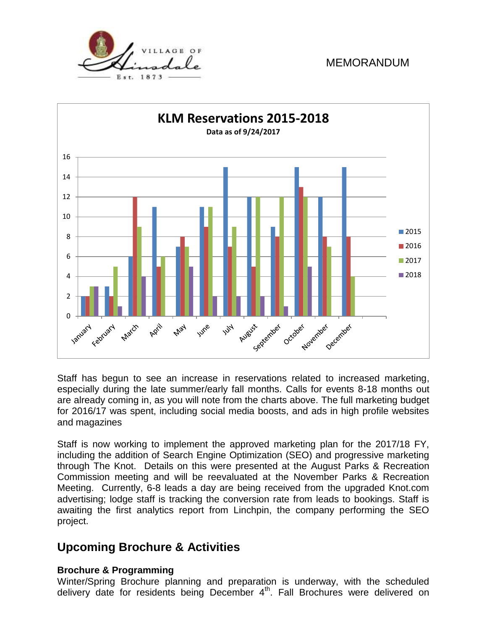



Staff has begun to see an increase in reservations related to increased marketing, especially during the late summer/early fall months. Calls for events 8-18 months out are already coming in, as you will note from the charts above. The full marketing budget for 2016/17 was spent, including social media boosts, and ads in high profile websites and magazines

Staff is now working to implement the approved marketing plan for the 2017/18 FY, including the addition of Search Engine Optimization (SEO) and progressive marketing through The Knot. Details on this were presented at the August Parks & Recreation Commission meeting and will be reevaluated at the November Parks & Recreation Meeting. Currently, 6-8 leads a day are being received from the upgraded Knot.com advertising; lodge staff is tracking the conversion rate from leads to bookings. Staff is awaiting the first analytics report from Linchpin, the company performing the SEO project.

## **Upcoming Brochure & Activities**

#### **Brochure & Programming**

Winter/Spring Brochure planning and preparation is underway, with the scheduled delivery date for residents being December 4<sup>th</sup>. Fall Brochures were delivered on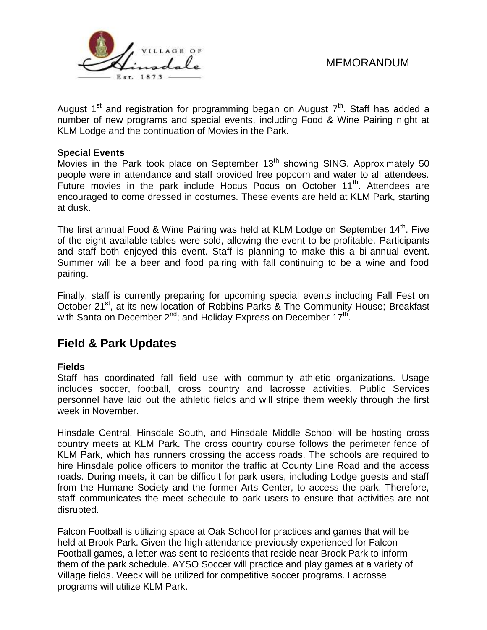

August 1<sup>st</sup> and registration for programming began on August  $7<sup>th</sup>$ . Staff has added a number of new programs and special events, including Food & Wine Pairing night at KLM Lodge and the continuation of Movies in the Park.

#### **Special Events**

Movies in the Park took place on September  $13<sup>th</sup>$  showing SING. Approximately 50 people were in attendance and staff provided free popcorn and water to all attendees. Future movies in the park include Hocus Pocus on October 11<sup>th</sup>. Attendees are encouraged to come dressed in costumes. These events are held at KLM Park, starting at dusk.

The first annual Food & Wine Pairing was held at KLM Lodge on September 14<sup>th</sup>. Five of the eight available tables were sold, allowing the event to be profitable. Participants and staff both enjoyed this event. Staff is planning to make this a bi-annual event. Summer will be a beer and food pairing with fall continuing to be a wine and food pairing.

Finally, staff is currently preparing for upcoming special events including Fall Fest on October 21<sup>st</sup>, at its new location of Robbins Parks & The Community House; Breakfast with Santa on December 2<sup>nd</sup>; and Holiday Express on December 17<sup>th</sup>.

# **Field & Park Updates**

#### **Fields**

Staff has coordinated fall field use with community athletic organizations. Usage includes soccer, football, cross country and lacrosse activities. Public Services personnel have laid out the athletic fields and will stripe them weekly through the first week in November.

Hinsdale Central, Hinsdale South, and Hinsdale Middle School will be hosting cross country meets at KLM Park. The cross country course follows the perimeter fence of KLM Park, which has runners crossing the access roads. The schools are required to hire Hinsdale police officers to monitor the traffic at County Line Road and the access roads. During meets, it can be difficult for park users, including Lodge guests and staff from the Humane Society and the former Arts Center, to access the park. Therefore, staff communicates the meet schedule to park users to ensure that activities are not disrupted.

Falcon Football is utilizing space at Oak School for practices and games that will be held at Brook Park. Given the high attendance previously experienced for Falcon Football games, a letter was sent to residents that reside near Brook Park to inform them of the park schedule. AYSO Soccer will practice and play games at a variety of Village fields. Veeck will be utilized for competitive soccer programs. Lacrosse programs will utilize KLM Park.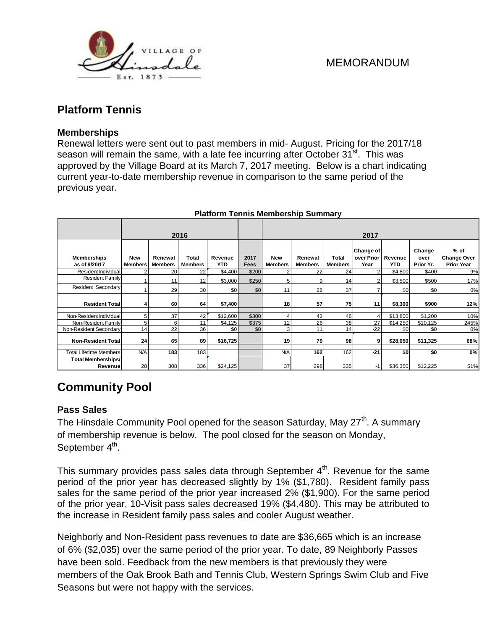

## **Platform Tennis**

#### **Memberships**

Renewal letters were sent out to past members in mid- August. Pricing for the 2017/18 season will remain the same, with a late fee incurring after October  $31^{st}$ . This was approved by the Village Board at its March 7, 2017 meeting. Below is a chart indicating current year-to-date membership revenue in comparison to the same period of the previous year.

|                                                                                                                                                                                                                                                                                                                                                                                                                                                          |                |                | 2016           |          |       |                |                |                |                                 |          |                |                              |  |  |  |
|----------------------------------------------------------------------------------------------------------------------------------------------------------------------------------------------------------------------------------------------------------------------------------------------------------------------------------------------------------------------------------------------------------------------------------------------------------|----------------|----------------|----------------|----------|-------|----------------|----------------|----------------|---------------------------------|----------|----------------|------------------------------|--|--|--|
| <b>Memberships</b>                                                                                                                                                                                                                                                                                                                                                                                                                                       | New            | Renewal        | Total          | Revenue  | 2017  | <b>New</b>     | Renewal        | Total          | 2017<br>Change of<br>over Prior | Revenue  | Change<br>over | $%$ of<br><b>Change Over</b> |  |  |  |
| as of 9/20/17                                                                                                                                                                                                                                                                                                                                                                                                                                            | <b>Members</b> | <b>Members</b> | <b>Members</b> | YTD      | Fees  | <b>Members</b> | <b>Members</b> | <b>Members</b> | Year                            | YTD      | Prior Yr.      | <b>Prior Year</b>            |  |  |  |
| Resident Individual<br><b>Resident Family</b>                                                                                                                                                                                                                                                                                                                                                                                                            |                | 20             | 22             | \$4,400  | \$200 |                | 22             | 24             | 2                               | \$4,800  | \$400          | 9%                           |  |  |  |
|                                                                                                                                                                                                                                                                                                                                                                                                                                                          |                | 11             | 12             | \$3,000  | \$250 | 5              | 9              | 14             | $\overline{2}$                  | \$3,500  | \$500          | 17%                          |  |  |  |
| <b>Resident Secondary</b>                                                                                                                                                                                                                                                                                                                                                                                                                                |                | 29             | 30             | \$0      | \$0   | 11             | 26             | 37             | $\overline{7}$                  | \$0      | \$0            | 0%                           |  |  |  |
| <b>Resident Total</b>                                                                                                                                                                                                                                                                                                                                                                                                                                    | 4              | 60             | 64             | \$7,400  |       | 18             | 57             | 75             | 11                              | \$8,300  | \$900          | 12%                          |  |  |  |
| Non-Resident Individual                                                                                                                                                                                                                                                                                                                                                                                                                                  | 5              | 37             | 42             | \$12,600 | \$300 | $\overline{4}$ | 42             | 46             | $\overline{4}$                  | \$13,800 | \$1,200        | 10%                          |  |  |  |
| Non-Resident Family                                                                                                                                                                                                                                                                                                                                                                                                                                      | 5              | 6              | 11             | \$4,125  | \$375 | 12             | 26             | 38             | 27                              | \$14,250 | \$10,125       | 245%                         |  |  |  |
| Non-Resident Secondary                                                                                                                                                                                                                                                                                                                                                                                                                                   | 14             | 22             | 36             | \$0      | \$0   | 3              | 11             | 14             | $-22$                           | \$0      | \$0            | 0%                           |  |  |  |
| <b>Non-Resident Total</b>                                                                                                                                                                                                                                                                                                                                                                                                                                | 24             | 65             | 89             | \$16,725 |       | 19             | 79             | 98             | 9                               | \$28,050 | \$11,325       | 68%                          |  |  |  |
| <b>Total Lifetime Members</b>                                                                                                                                                                                                                                                                                                                                                                                                                            | N/A            | 183            | 183            |          |       | N/A            | 162            | 162            | $-21$                           | \$0      | \$0            | 0%                           |  |  |  |
| <b>Total Memberships</b>                                                                                                                                                                                                                                                                                                                                                                                                                                 |                |                |                |          |       |                |                |                |                                 |          |                |                              |  |  |  |
| Revenue                                                                                                                                                                                                                                                                                                                                                                                                                                                  | 28             | 308            | 336            | \$24,125 |       | 37             | 298            | 335            | $-1$                            | \$36,350 | \$12,225       | 51%                          |  |  |  |
| The Hinsdale Community Pool opened for the season Saturday, May 27 <sup>th</sup> . A summary<br>of membership revenue is below. The pool closed for the season on Monday,<br>September 4 <sup>th</sup> .                                                                                                                                                                                                                                                 |                |                |                |          |       |                |                |                |                                 |          |                |                              |  |  |  |
| This summary provides pass sales data through September 4 <sup>th</sup> . Revenue for the same<br>period of the prior year has decreased slightly by 1% (\$1,780). Resident family pass<br>sales for the same period of the prior year increased 2% (\$1,900). For the same period<br>of the prior year, 10-Visit pass sales decreased 19% (\$4,480). This may be attributed to<br>the increase in Resident family pass sales and cooler August weather. |                |                |                |          |       |                |                |                |                                 |          |                |                              |  |  |  |
| Neighborly and Non-Resident pass revenues to date are \$36,665 which is an increase<br>of 6% (\$2,035) over the same period of the prior year. To date, 89 Neighborly Passes<br>have been sold. Feedback from the new members is that previously they were<br>members of the Oak Brook Bath and Tennis Club, Western Springs Swim Club and Five<br>Seasons but were not happy with the services.                                                         |                |                |                |          |       |                |                |                |                                 |          |                |                              |  |  |  |

#### **Platform Tennis Membership Summary**

# **Community Pool**

#### **Pass Sales**